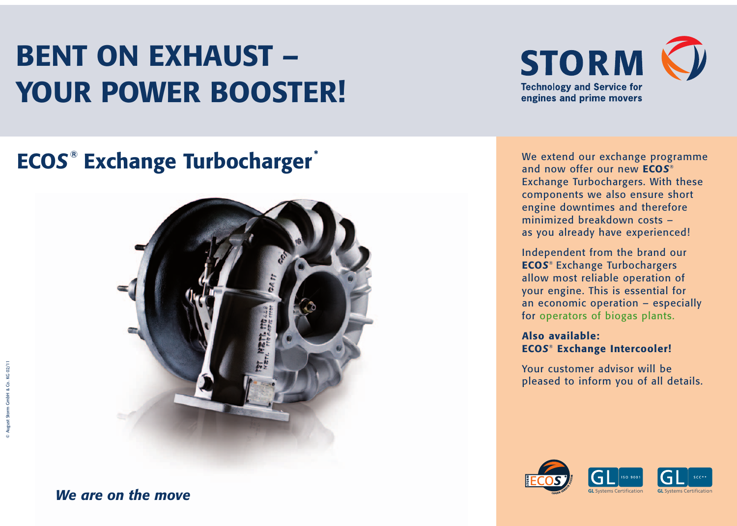# **BENT ON EXHAUST – YOUR POWER BOOSTER!**



### **ECO***S* **Exchange Turbocharger ® \***



We extend our exchange programme and now offer our new **ECO***S*® Exchange Turbochargers. With these components we also ensure short engine downtimes and therefore minimized breakdown costs – as you already have experienced!

Independent from the brand our **ECO***S*® Exchange Turbochargers allow most reliable operation of your engine. This is essential for an economic operation – especially for operators of biogas plants.

#### **Also available: ECO***S*® **Exchange Intercooler!**

Your customer advisor will be pleased to inform you of all details.



*We are on the move*